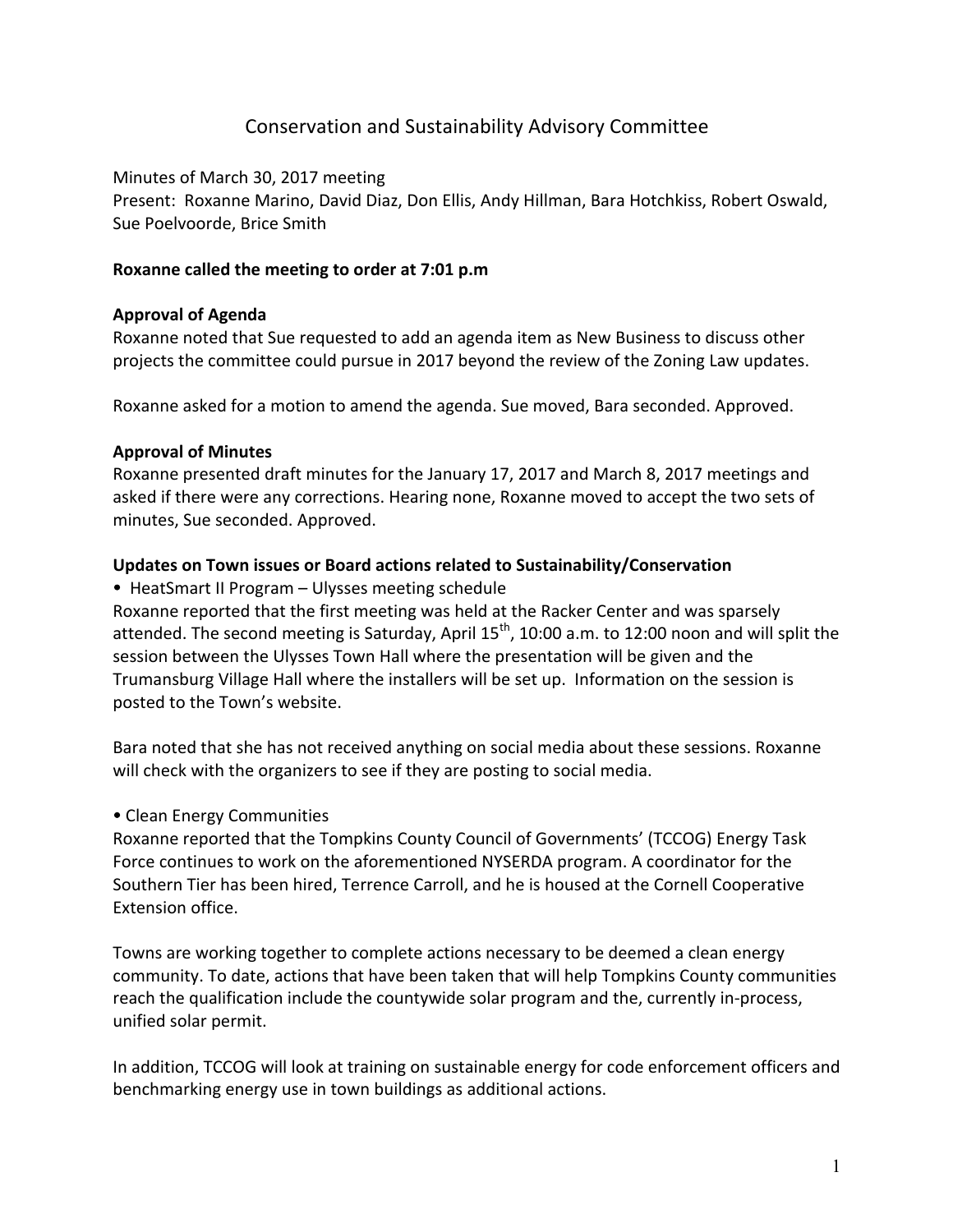# Conservation and Sustainability Advisory Committee

Minutes of March 30, 2017 meeting Present: Roxanne Marino, David Diaz, Don Ellis, Andy Hillman, Bara Hotchkiss, Robert Oswald, Sue Poelvoorde, Brice Smith

#### **Roxanne called the meeting to order at 7:01 p.m**

### **Approval of Agenda**

Roxanne noted that Sue requested to add an agenda item as New Business to discuss other projects the committee could pursue in 2017 beyond the review of the Zoning Law updates.

Roxanne asked for a motion to amend the agenda. Sue moved, Bara seconded. Approved.

### **Approval of Minutes**

Roxanne presented draft minutes for the January 17, 2017 and March 8, 2017 meetings and asked if there were any corrections. Hearing none, Roxanne moved to accept the two sets of minutes, Sue seconded. Approved.

### Updates on Town issues or Board actions related to Sustainability/Conservation

• HeatSmart II Program – Ulysses meeting schedule

Roxanne reported that the first meeting was held at the Racker Center and was sparsely attended. The second meeting is Saturday, April  $15^{th}$ , 10:00 a.m. to 12:00 noon and will split the session between the Ulysses Town Hall where the presentation will be given and the Trumansburg Village Hall where the installers will be set up. Information on the session is posted to the Town's website.

Bara noted that she has not received anything on social media about these sessions. Roxanne will check with the organizers to see if they are posting to social media.

# • Clean Energy Communities

Roxanne reported that the Tompkins County Council of Governments' (TCCOG) Energy Task Force continues to work on the aforementioned NYSERDA program. A coordinator for the Southern Tier has been hired, Terrence Carroll, and he is housed at the Cornell Cooperative Extension office.

Towns are working together to complete actions necessary to be deemed a clean energy community. To date, actions that have been taken that will help Tompkins County communities reach the qualification include the countywide solar program and the, currently in-process, unified solar permit.

In addition, TCCOG will look at training on sustainable energy for code enforcement officers and benchmarking energy use in town buildings as additional actions.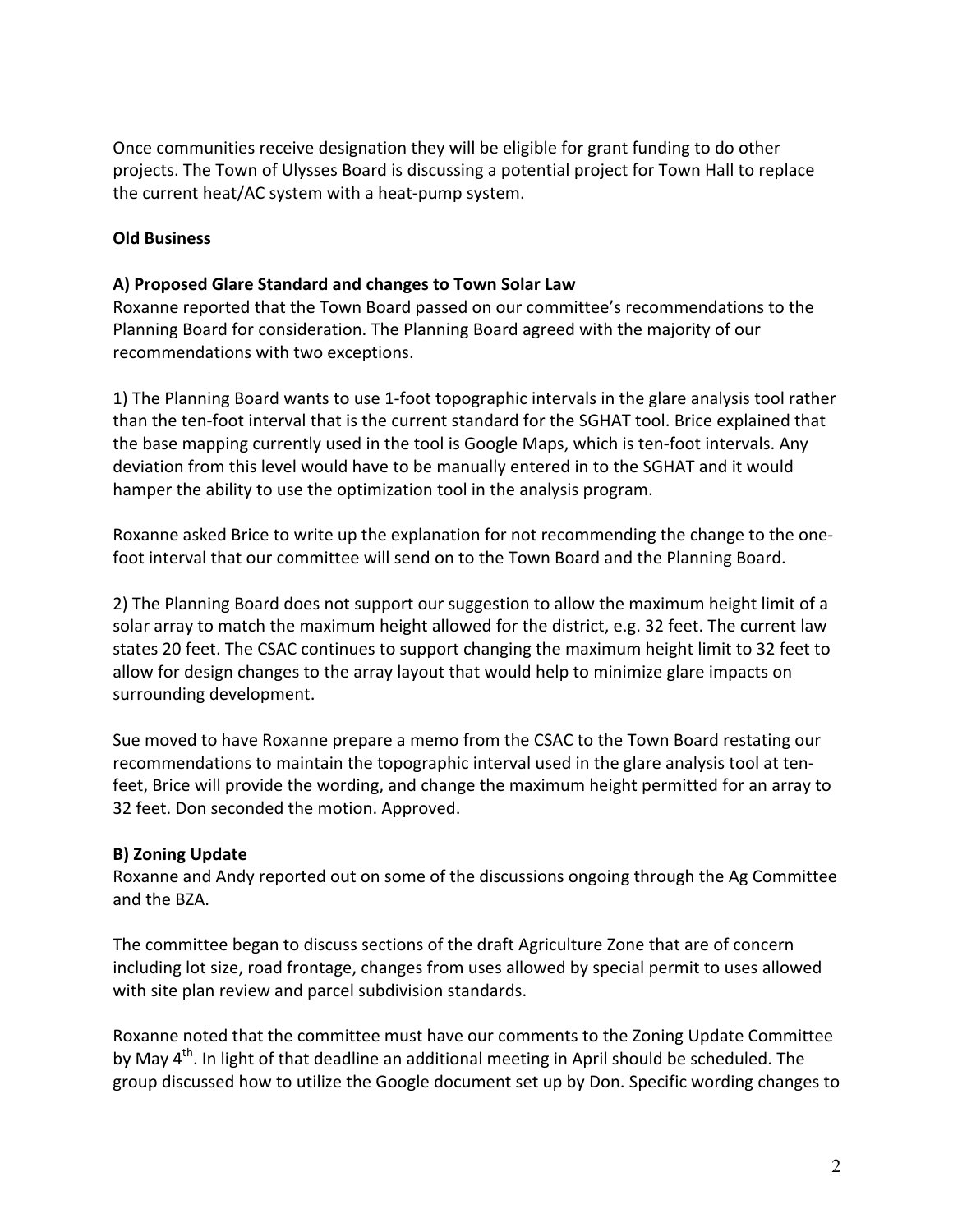Once communities receive designation they will be eligible for grant funding to do other projects. The Town of Ulysses Board is discussing a potential project for Town Hall to replace the current heat/AC system with a heat-pump system.

# **Old Business**

#### **A) Proposed Glare Standard and changes to Town Solar Law**

Roxanne reported that the Town Board passed on our committee's recommendations to the Planning Board for consideration. The Planning Board agreed with the majority of our recommendations with two exceptions.

1) The Planning Board wants to use 1-foot topographic intervals in the glare analysis tool rather than the ten-foot interval that is the current standard for the SGHAT tool. Brice explained that the base mapping currently used in the tool is Google Maps, which is ten-foot intervals. Any deviation from this level would have to be manually entered in to the SGHAT and it would hamper the ability to use the optimization tool in the analysis program.

Roxanne asked Brice to write up the explanation for not recommending the change to the onefoot interval that our committee will send on to the Town Board and the Planning Board.

2) The Planning Board does not support our suggestion to allow the maximum height limit of a solar array to match the maximum height allowed for the district, e.g. 32 feet. The current law states 20 feet. The CSAC continues to support changing the maximum height limit to 32 feet to allow for design changes to the array layout that would help to minimize glare impacts on surrounding development.

Sue moved to have Roxanne prepare a memo from the CSAC to the Town Board restating our recommendations to maintain the topographic interval used in the glare analysis tool at tenfeet, Brice will provide the wording, and change the maximum height permitted for an array to 32 feet. Don seconded the motion. Approved.

# **B) Zoning Update**

Roxanne and Andy reported out on some of the discussions ongoing through the Ag Committee and the BZA.

The committee began to discuss sections of the draft Agriculture Zone that are of concern including lot size, road frontage, changes from uses allowed by special permit to uses allowed with site plan review and parcel subdivision standards.

Roxanne noted that the committee must have our comments to the Zoning Update Committee by May 4<sup>th</sup>. In light of that deadline an additional meeting in April should be scheduled. The group discussed how to utilize the Google document set up by Don. Specific wording changes to